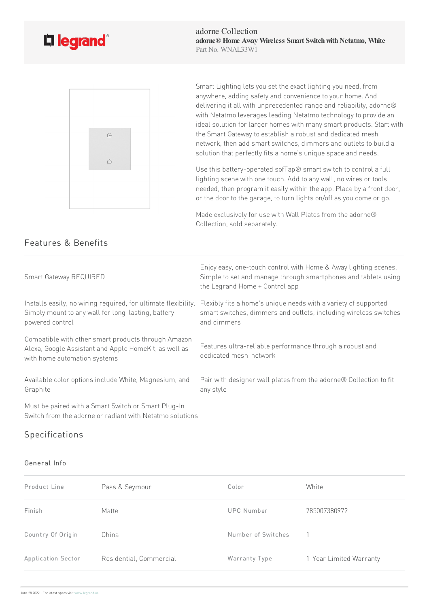

Features & Benefits



Smart Lighting lets you set the exact lighting you need, from anywhere, adding safety and convenience to your home. And delivering it all with unprecedented range and reliability, adorne® with Netatmo leverages leading Netatmo technology to provide an ideal solution for larger homes with many smart products. Start with the Smart Gateway to establish a robust and dedicated mesh network, then add smart switches, dimmers and outlets to build a solution that perfectly fits a home's unique space and needs.

Use this battery-operated sofTap® smart switch to control a full lighting scene with one touch. Add to any wall, no wires or tools needed, then program it easily within the app. Place by a front door, or the door to the garage, to turn lights on/off as you come or go.

Made exclusively for use with Wall Plates from the adorne® Collection, sold separately.

| Smart Gateway REQUIRED                                                                                                                       | Enjoy easy, one-touch control with Home & Away lighting scenes.<br>Simple to set and manage through smartphones and tablets using<br>the Legrand Home + Control app |
|----------------------------------------------------------------------------------------------------------------------------------------------|---------------------------------------------------------------------------------------------------------------------------------------------------------------------|
| Installs easily, no wiring required, for ultimate flexibility.<br>Simply mount to any wall for long-lasting, battery-<br>powered control     | Flexibly fits a home's unique needs with a variety of supported<br>smart switches, dimmers and outlets, including wireless switches<br>and dimmers                  |
| Compatible with other smart products through Amazon<br>Alexa, Google Assistant and Apple HomeKit, as well as<br>with home automation systems | Features ultra-reliable performance through a robust and<br>dedicated mesh-network                                                                                  |
| Available color options include White, Magnesium, and<br>Graphite                                                                            | Pair with designer wall plates from the adorne® Collection to fit<br>any style                                                                                      |
| Must be paired with a Smart Switch or Smart Plug-In<br>Switch from the adorne or radiant with Netatmo solutions                              |                                                                                                                                                                     |

## Specifications

## General Info

| Product Line       | Pass & Seymour          | Color              | White                   |
|--------------------|-------------------------|--------------------|-------------------------|
| Finish             | Matte                   | UPC Number         | 785007380972            |
| Country Of Origin  | China                   | Number of Switches |                         |
| Application Sector | Residential, Commercial | Warranty Type      | 1-Year Limited Warranty |